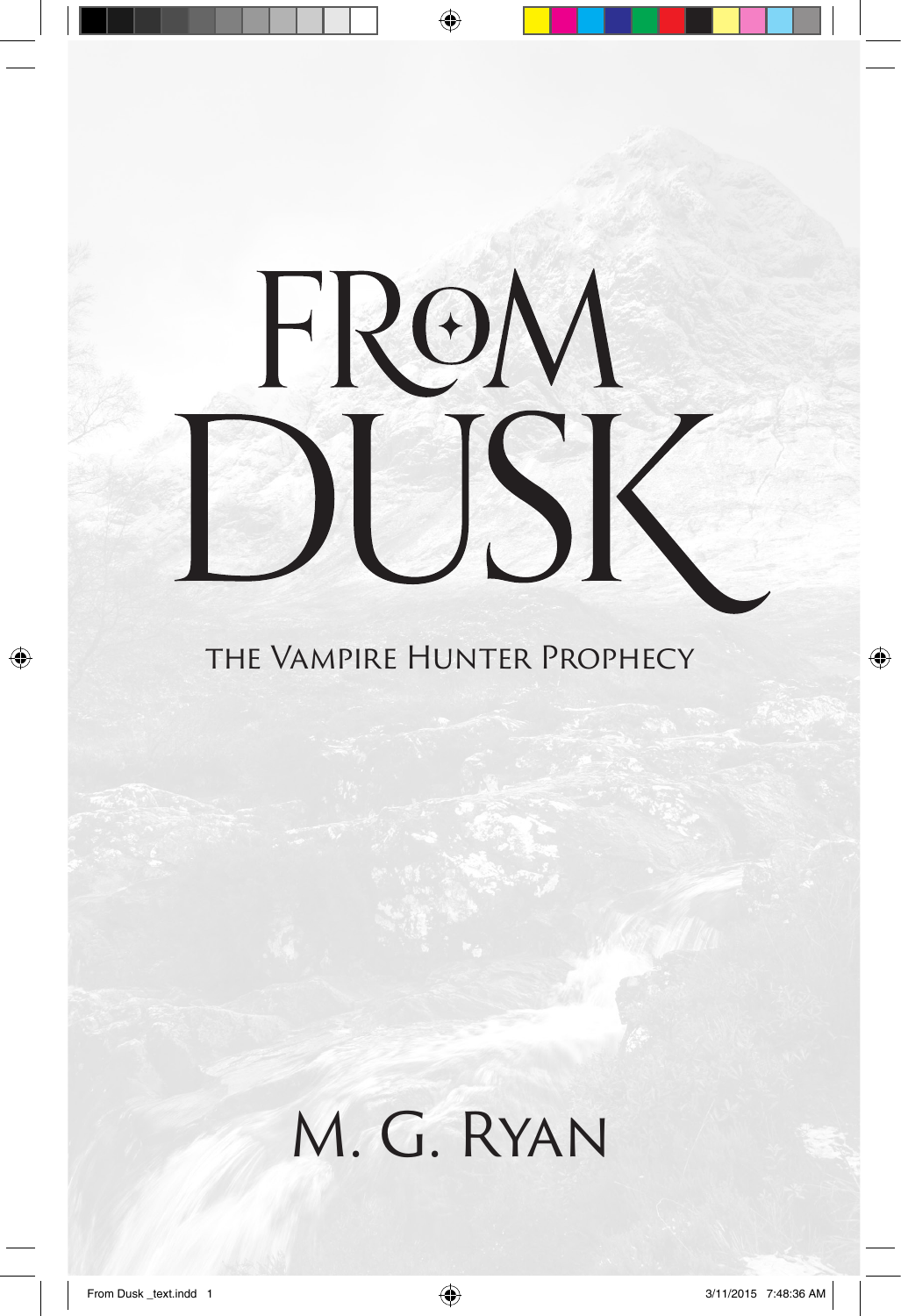# FROM  $\blacktriangle$

the Vampire Hunter Prophecy

M. G. Ryan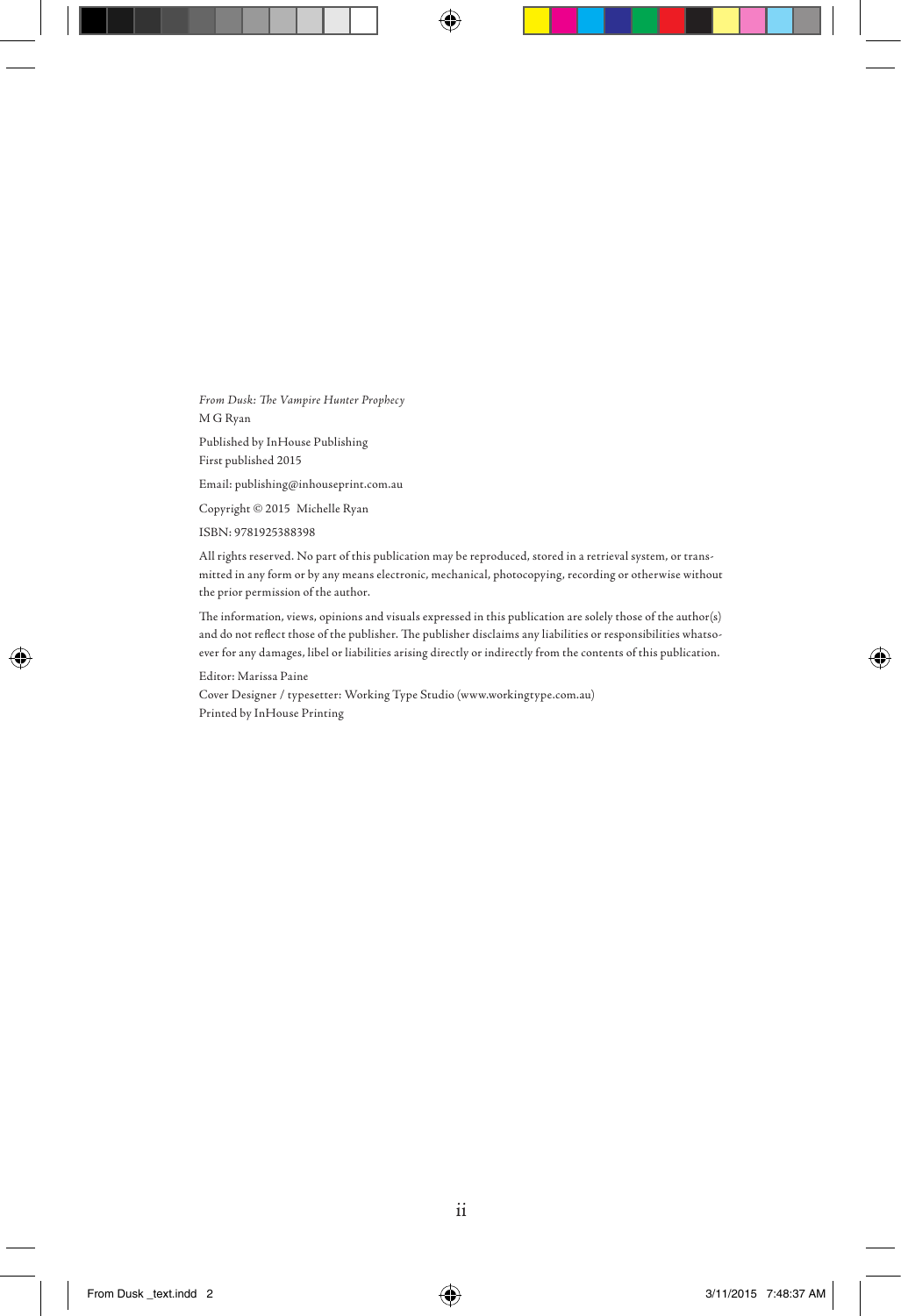*From Dusk: The Vampire Hunter Prophecy* M G Ryan

Published by InHouse Publishing First published 2015

Email: publishing@inhouseprint.com.au

Copyright © 2015 Michelle Ryan

ISBN: 9781925388398

All rights reserved. No part of this publication may be reproduced, stored in a retrieval system, or transmitted in any form or by any means electronic, mechanical, photocopying, recording or otherwise without the prior permission of the author.

The information, views, opinions and visuals expressed in this publication are solely those of the author(s) and do not reflect those of the publisher. The publisher disclaims any liabilities or responsibilities whatsoever for any damages, libel or liabilities arising directly or indirectly from the contents of this publication.

Editor: Marissa Paine Cover Designer / typesetter: Working Type Studio (www.workingtype.com.au) Printed by InHouse Printing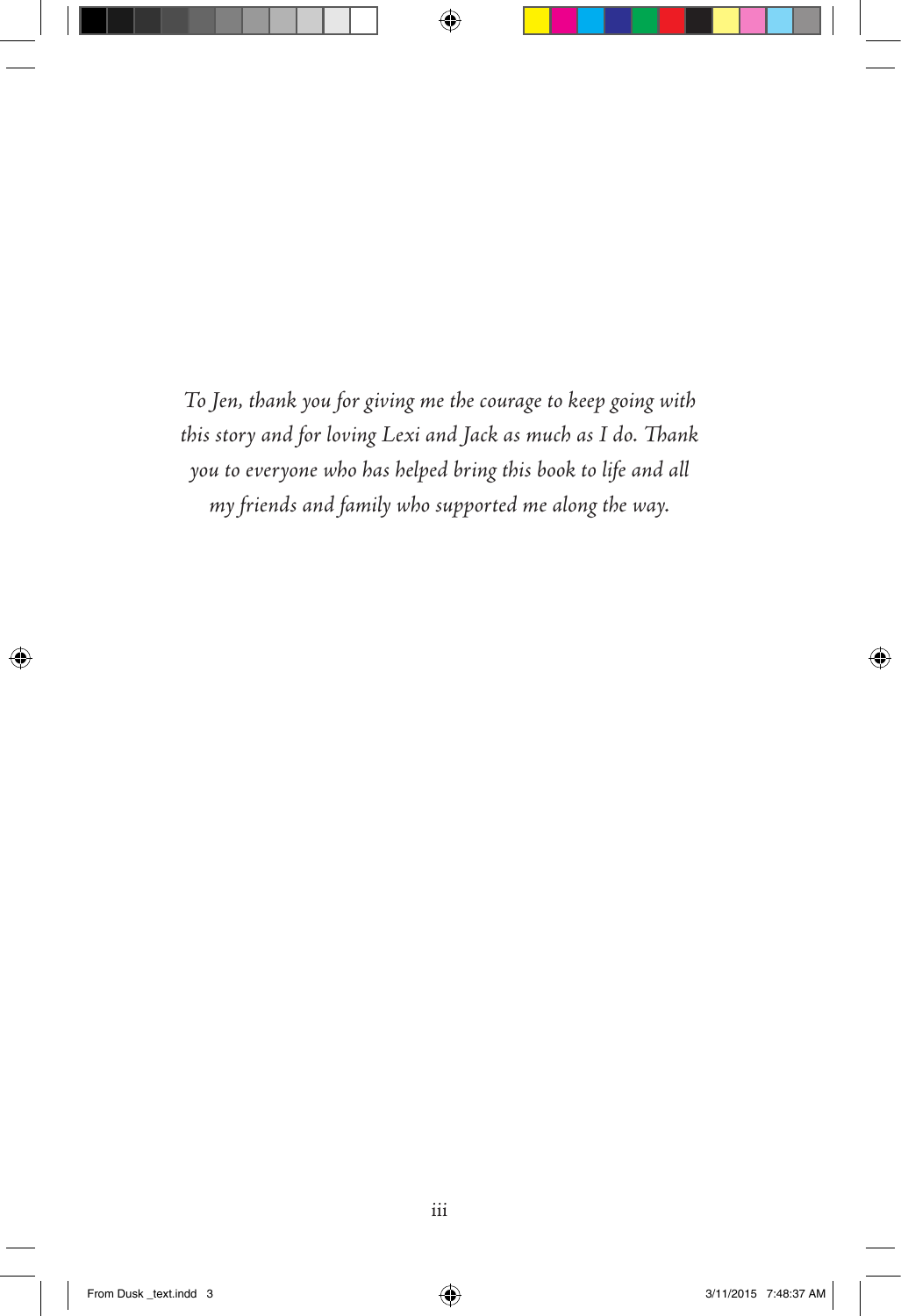*To Jen, thank you for giving me the courage to keep going with this story and for loving Lexi and Jack as much as I do. Thank you to everyone who has helped bring this book to life and all my friends and family who supported me along the way.*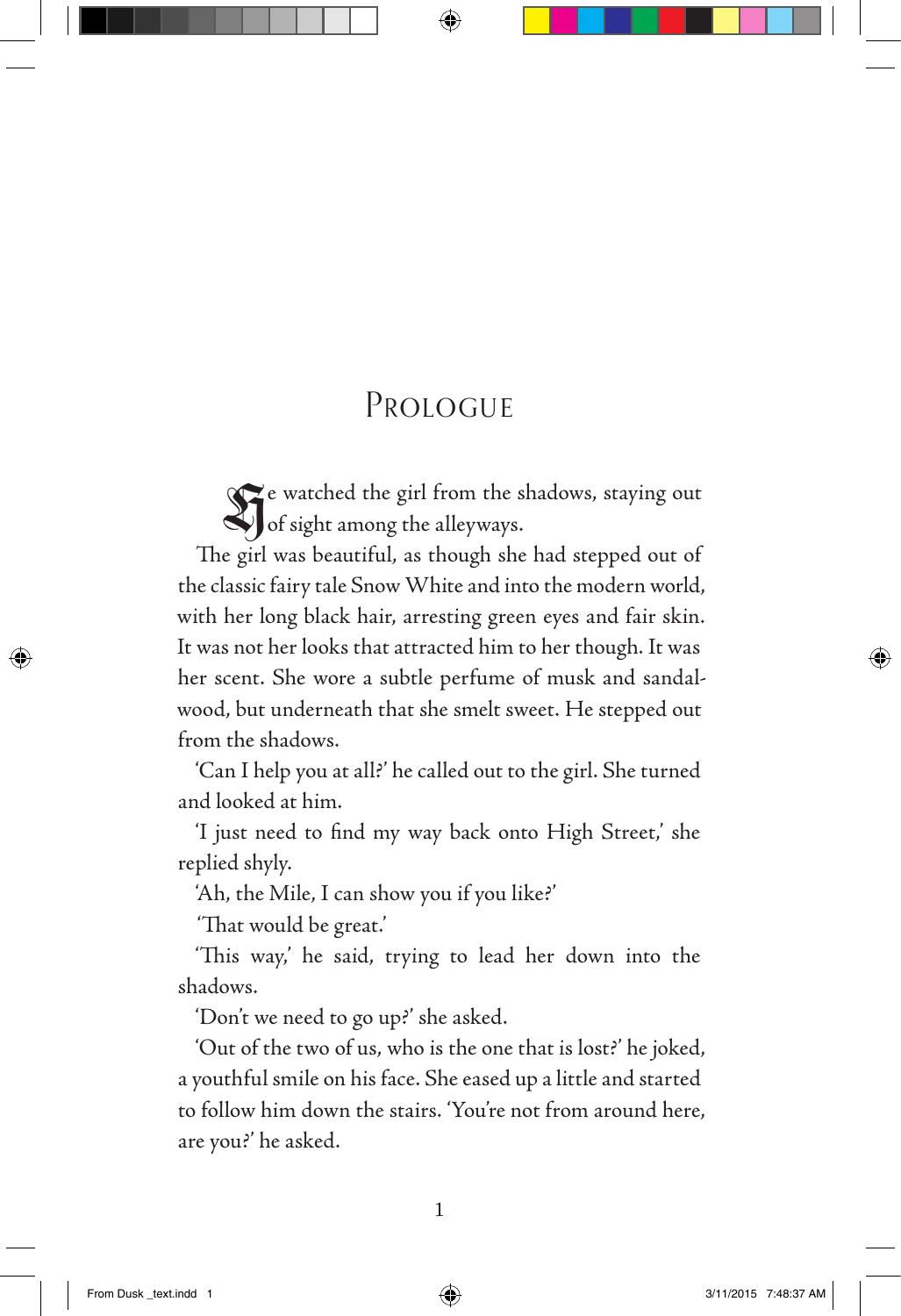### PROLOGUE

He watched the girl from the shadows, staying out of sight among the alleyways.

The girl was beautiful, as though she had stepped out of the classic fairy tale Snow White and into the modern world, with her long black hair, arresting green eyes and fair skin. It was not her looks that attracted him to her though. It was her scent. She wore a subtle perfume of musk and sandalwood, but underneath that she smelt sweet. He stepped out from the shadows.

'Can I help you at all?' he called out to the girl. She turned and looked at him.

'I just need to find my way back onto High Street,' she replied shyly.

'Ah, the Mile, I can show you if you like?'

'That would be great.'

'This way,' he said, trying to lead her down into the shadows.

'Don't we need to go up?' she asked.

'Out of the two of us, who is the one that is lost?' he joked, a youthful smile on his face. She eased up a little and started to follow him down the stairs. 'You're not from around here, are you?' he asked.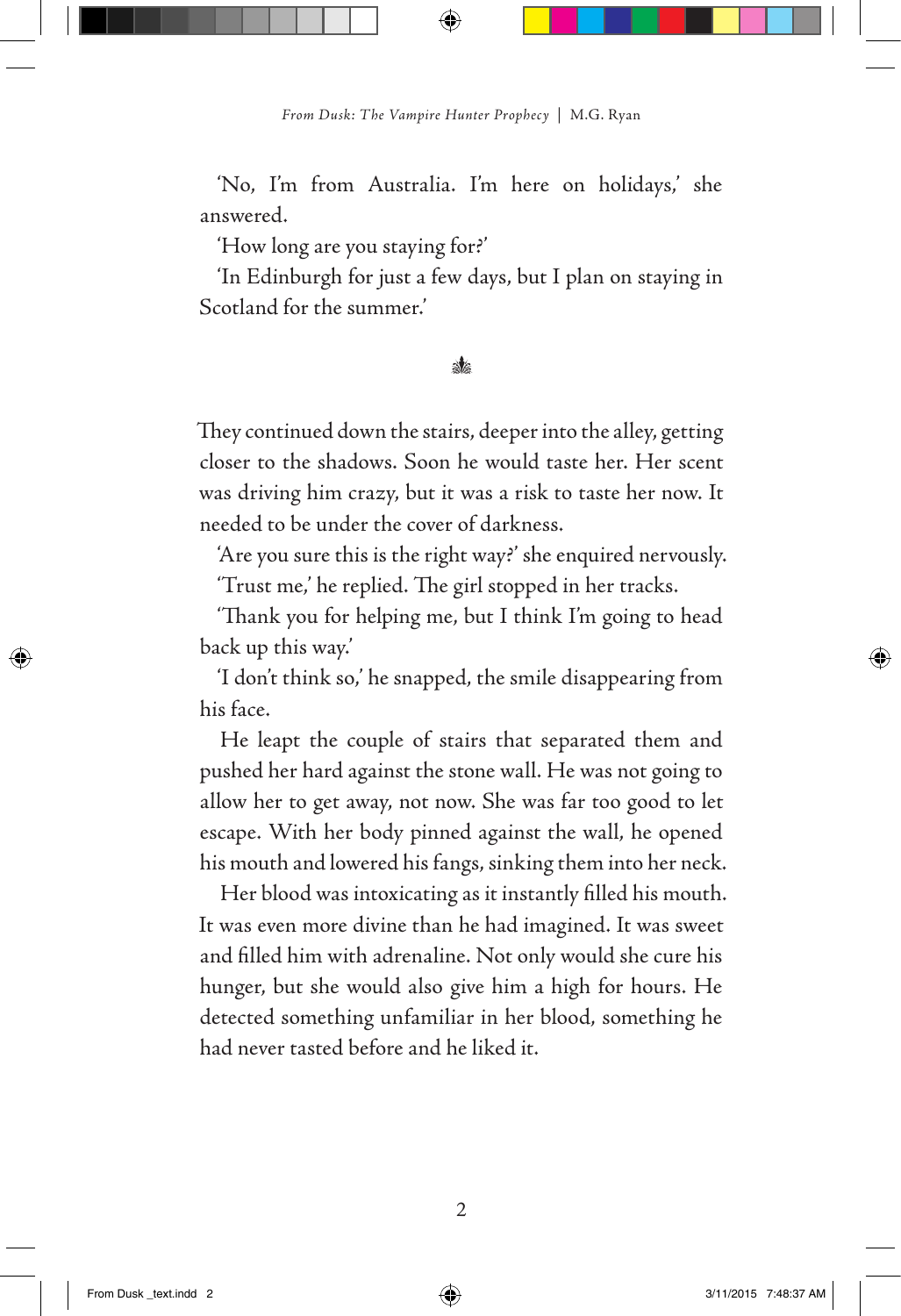'No, I'm from Australia. I'm here on holidays,' she answered.

'How long are you staying for?'

'In Edinburgh for just a few days, but I plan on staying in Scotland for the summer.'

#### $\mathcal{N}_{\epsilon}$

They continued down the stairs, deeper into the alley, getting closer to the shadows. Soon he would taste her. Her scent was driving him crazy, but it was a risk to taste her now. It needed to be under the cover of darkness.

'Are you sure this is the right way?' she enquired nervously. 'Trust me,' he replied. The girl stopped in her tracks.

'Thank you for helping me, but I think I'm going to head back up this way.'

'I don't think so,' he snapped, the smile disappearing from his face.

He leapt the couple of stairs that separated them and pushed her hard against the stone wall. He was not going to allow her to get away, not now. She was far too good to let escape. With her body pinned against the wall, he opened his mouth and lowered his fangs, sinking them into her neck.

Her blood was intoxicating as it instantly filled his mouth. It was even more divine than he had imagined. It was sweet and filled him with adrenaline. Not only would she cure his hunger, but she would also give him a high for hours. He detected something unfamiliar in her blood, something he had never tasted before and he liked it.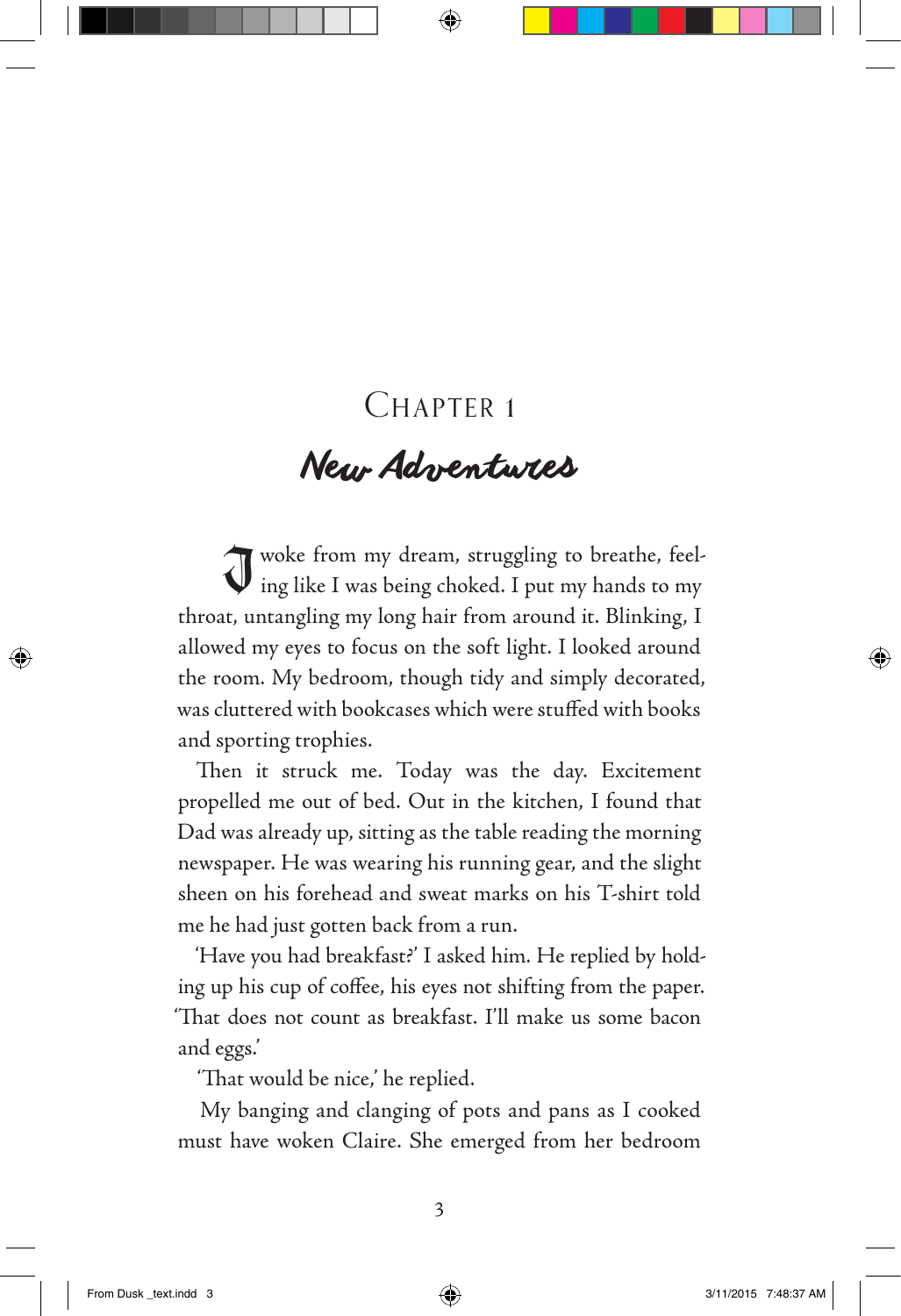## CHAPTER 1

# *New Adventures*

I woke from my dream, struggling to breathe, feel-ing like I was being choked. I put my hands to my throat, untangling my long hair from around it. Blinking, I allowed my eyes to focus on the soft light. I looked around the room. My bedroom, though tidy and simply decorated, was cluttered with bookcases which were stuffed with books and sporting trophies.

Then it struck me. Today was the day. Excitement propelled me out of bed. Out in the kitchen, I found that Dad was already up, sitting as the table reading the morning newspaper. He was wearing his running gear, and the slight sheen on his forehead and sweat marks on his T-shirt told me he had just gotten back from a run.

'Have you had breakfast?' I asked him. He replied by holding up his cup of coffee, his eyes not shifting from the paper. 'That does not count as breakfast. I'll make us some bacon and eggs.'

'That would be nice,' he replied.

My banging and clanging of pots and pans as I cooked must have woken Claire. She emerged from her bedroom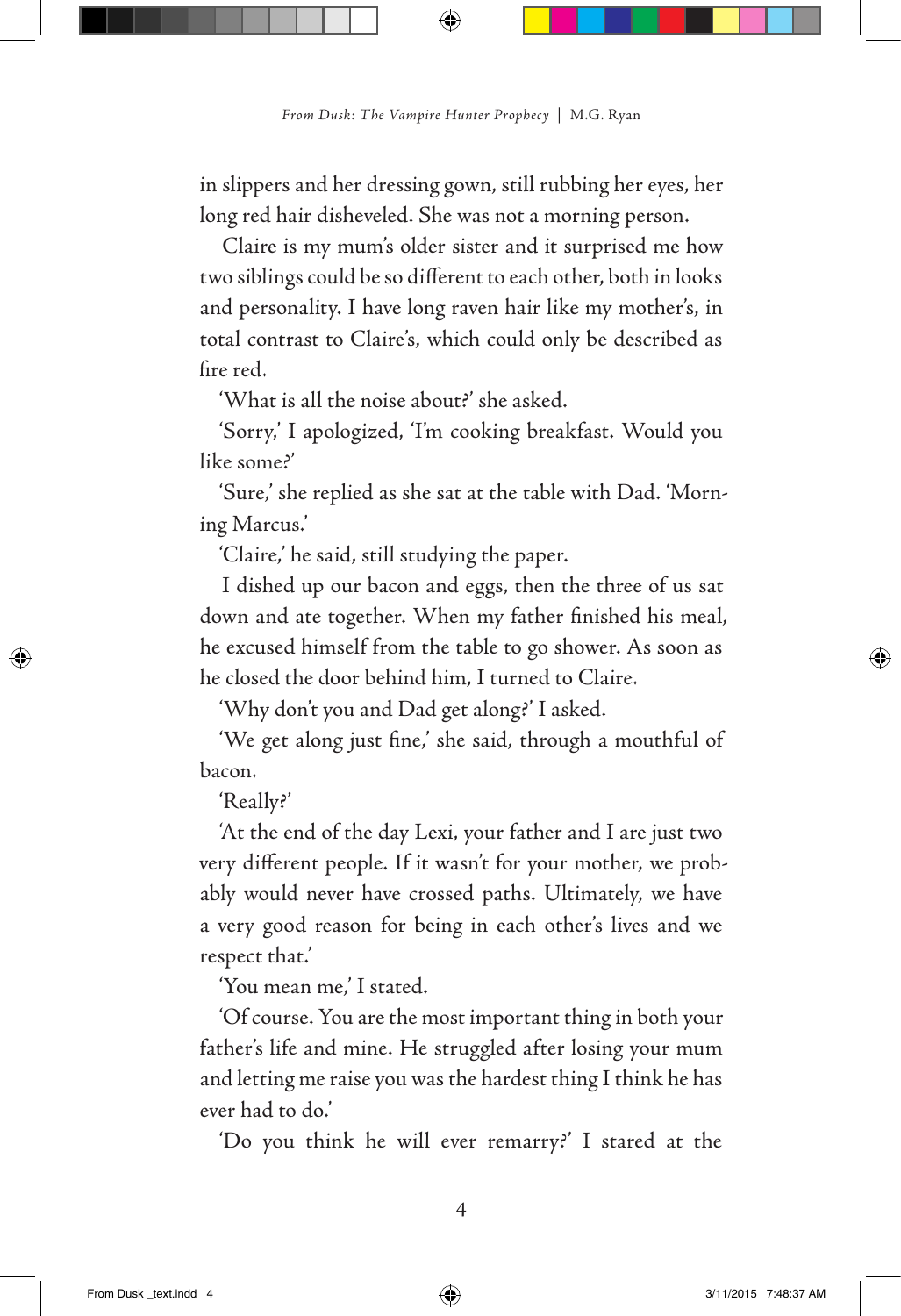in slippers and her dressing gown, still rubbing her eyes, her long red hair disheveled. She was not a morning person.

Claire is my mum's older sister and it surprised me how two siblings could be so different to each other, both in looks and personality. I have long raven hair like my mother's, in total contrast to Claire's, which could only be described as fire red.

'What is all the noise about?' she asked.

'Sorry,' I apologized, 'I'm cooking breakfast. Would you like some?'

'Sure,' she replied as she sat at the table with Dad. 'Morning Marcus.'

'Claire,' he said, still studying the paper.

I dished up our bacon and eggs, then the three of us sat down and ate together. When my father finished his meal, he excused himself from the table to go shower. As soon as he closed the door behind him, I turned to Claire.

'Why don't you and Dad get along?' I asked.

'We get along just fine,' she said, through a mouthful of bacon.

'Really?'

'At the end of the day Lexi, your father and I are just two very different people. If it wasn't for your mother, we probably would never have crossed paths. Ultimately, we have a very good reason for being in each other's lives and we respect that.'

'You mean me,' I stated.

'Of course. You are the most important thing in both your father's life and mine. He struggled after losing your mum and letting me raise you was the hardest thing I think he has ever had to do.'

'Do you think he will ever remarry?' I stared at the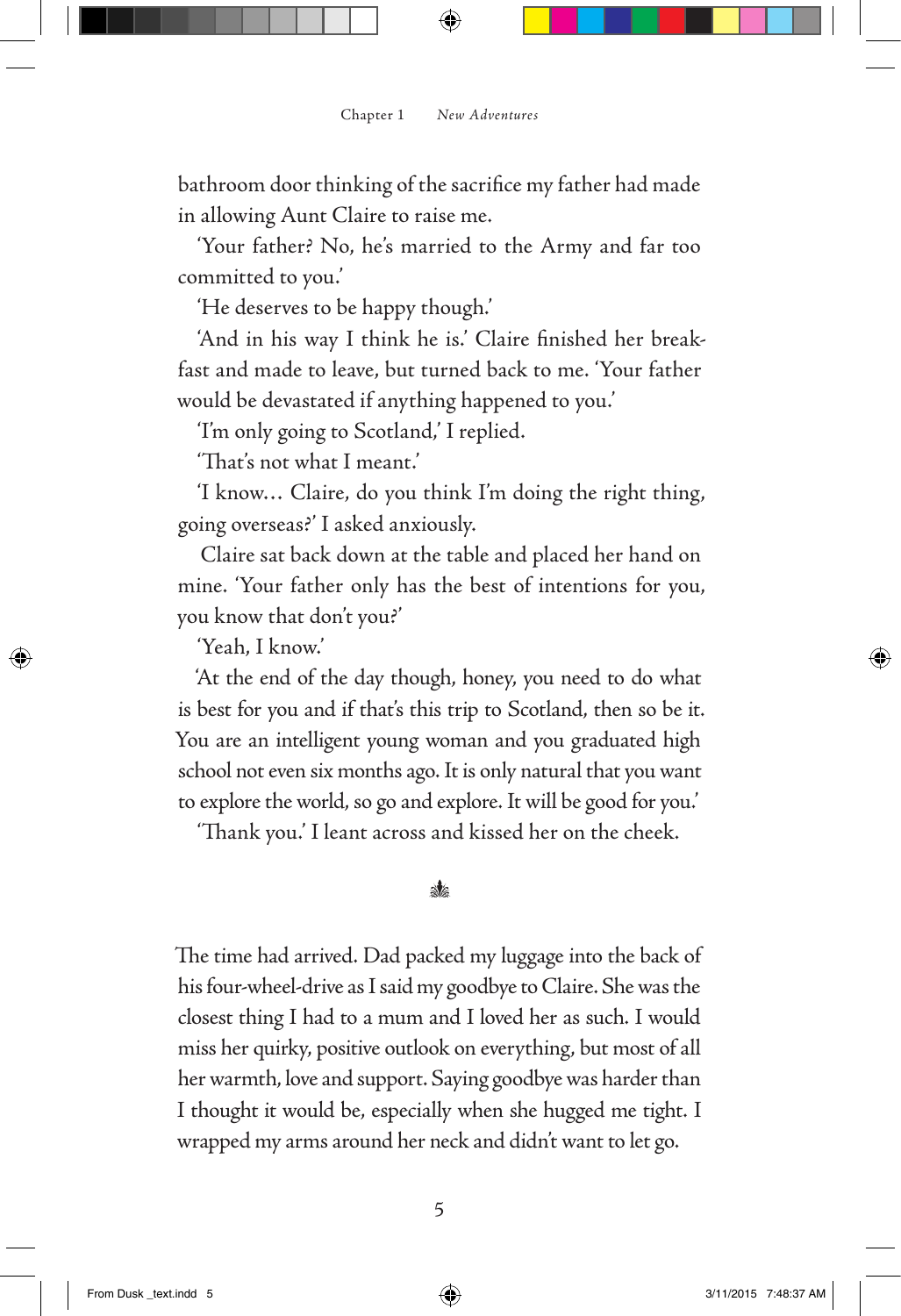bathroom door thinking of the sacrifice my father had made in allowing Aunt Claire to raise me.

'Your father? No, he's married to the Army and far too committed to you.'

'He deserves to be happy though.'

'And in his way I think he is.' Claire finished her breakfast and made to leave, but turned back to me. 'Your father would be devastated if anything happened to you.'

'I'm only going to Scotland,' I replied.

'That's not what I meant.'

'I know… Claire, do you think I'm doing the right thing, going overseas?' I asked anxiously.

Claire sat back down at the table and placed her hand on mine. 'Your father only has the best of intentions for you, you know that don't you?'

'Yeah, I know.'

'At the end of the day though, honey, you need to do what is best for you and if that's this trip to Scotland, then so be it. You are an intelligent young woman and you graduated high school not even six months ago. It is only natural that you want to explore the world, so go and explore. It will be good for you.'

'Thank you.' I leant across and kissed her on the cheek.

#### ak.

The time had arrived. Dad packed my luggage into the back of his four-wheel-drive as I said my goodbye to Claire. She was the closest thing I had to a mum and I loved her as such. I would miss her quirky, positive outlook on everything, but most of all her warmth, love and support. Saying goodbye was harder than I thought it would be, especially when she hugged me tight. I wrapped my arms around her neck and didn't want to let go.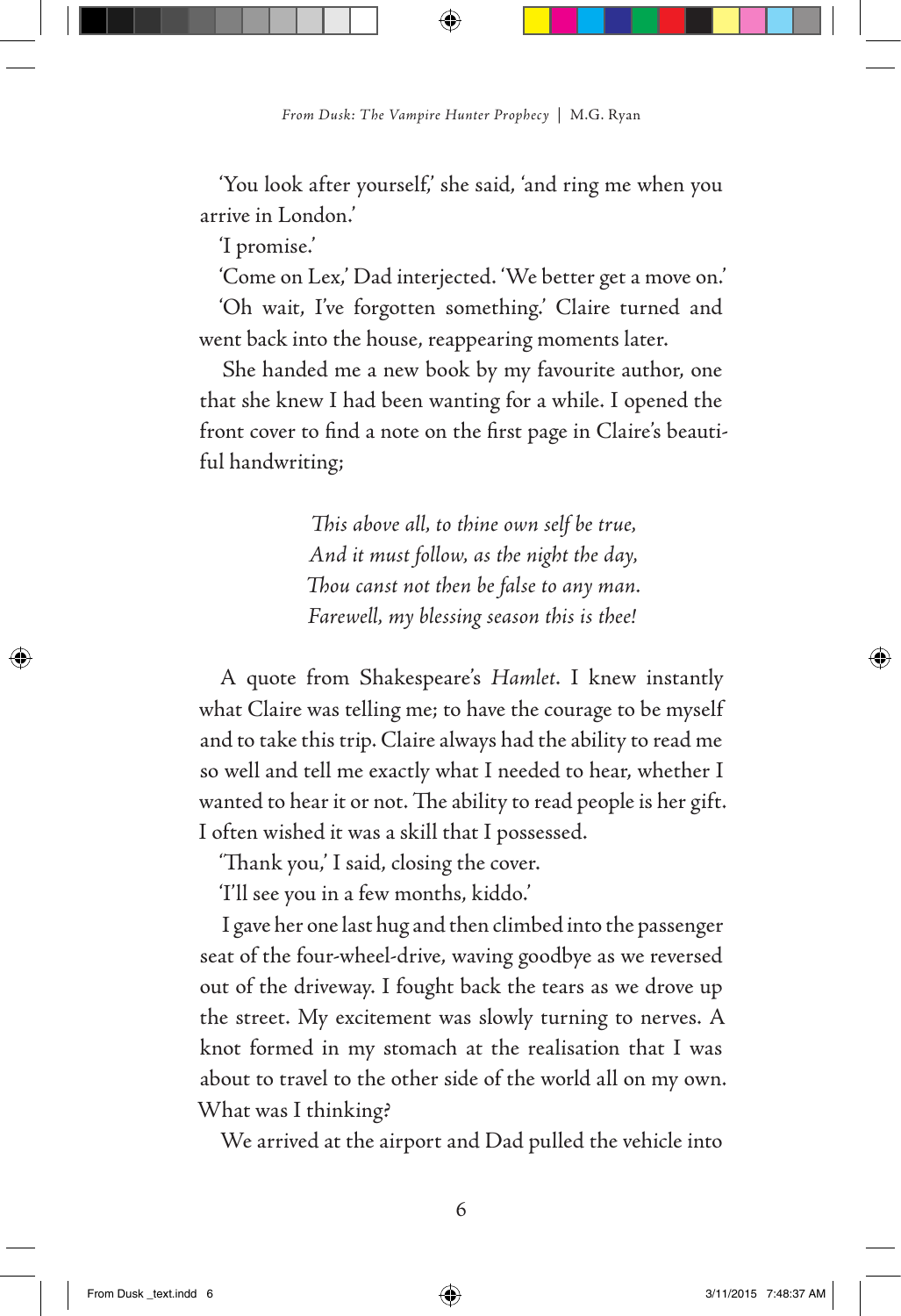'You look after yourself,' she said, 'and ring me when you arrive in London.'

'I promise.'

'Come on Lex,' Dad interjected. 'We better get a move on.'

'Oh wait, I've forgotten something.' Claire turned and went back into the house, reappearing moments later.

She handed me a new book by my favourite author, one that she knew I had been wanting for a while. I opened the front cover to find a note on the first page in Claire's beautiful handwriting;

> *This above all, to thine own self be true, And it must follow, as the night the day, Thou canst not then be false to any man. Farewell, my blessing season this is thee!*

A quote from Shakespeare's *Hamlet*. I knew instantly what Claire was telling me; to have the courage to be myself and to take this trip. Claire always had the ability to read me so well and tell me exactly what I needed to hear, whether I wanted to hear it or not. The ability to read people is her gift. I often wished it was a skill that I possessed.

'Thank you,' I said, closing the cover.

'I'll see you in a few months, kiddo.'

I gave her one last hug and then climbed into the passenger seat of the four-wheel-drive, waving goodbye as we reversed out of the driveway. I fought back the tears as we drove up the street. My excitement was slowly turning to nerves. A knot formed in my stomach at the realisation that I was about to travel to the other side of the world all on my own. What was I thinking?

We arrived at the airport and Dad pulled the vehicle into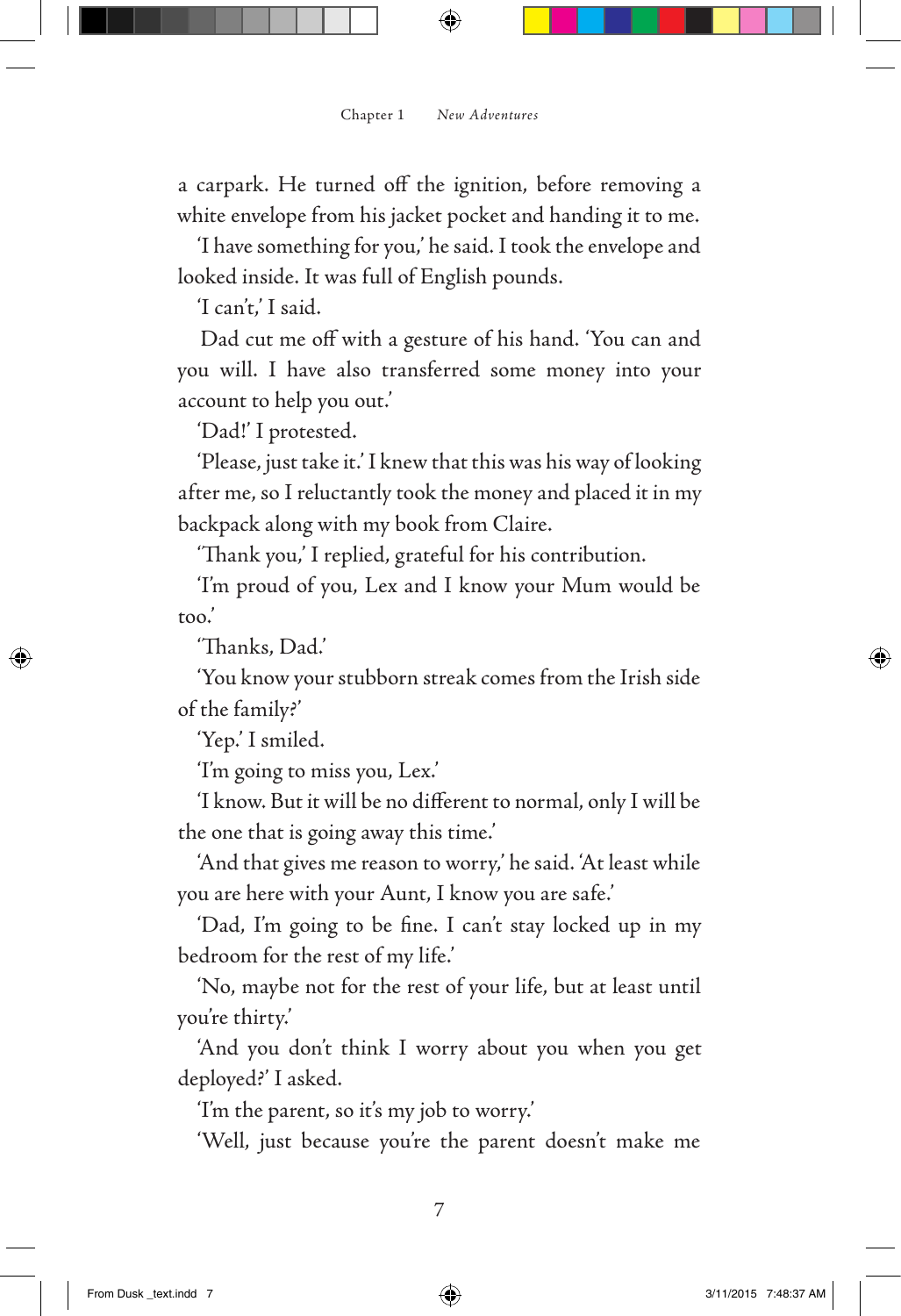a carpark. He turned off the ignition, before removing a white envelope from his jacket pocket and handing it to me.

'I have something for you,' he said. I took the envelope and looked inside. It was full of English pounds.

'I can't,' I said.

Dad cut me off with a gesture of his hand. 'You can and you will. I have also transferred some money into your account to help you out.'

'Dad!' I protested.

'Please, just take it.' I knew that this was his way of looking after me, so I reluctantly took the money and placed it in my backpack along with my book from Claire.

'Thank you,' I replied, grateful for his contribution.

'I'm proud of you, Lex and I know your Mum would be too.'

'Thanks, Dad.'

'You know your stubborn streak comes from the Irish side of the family?'

'Yep.' I smiled.

'I'm going to miss you, Lex.'

'I know. But it will be no different to normal, only I will be the one that is going away this time.'

'And that gives me reason to worry,' he said. 'At least while you are here with your Aunt, I know you are safe.'

'Dad, I'm going to be fine. I can't stay locked up in my bedroom for the rest of my life.'

'No, maybe not for the rest of your life, but at least until you're thirty.'

'And you don't think I worry about you when you get deployed?' I asked.

'I'm the parent, so it's my job to worry.'

'Well, just because you're the parent doesn't make me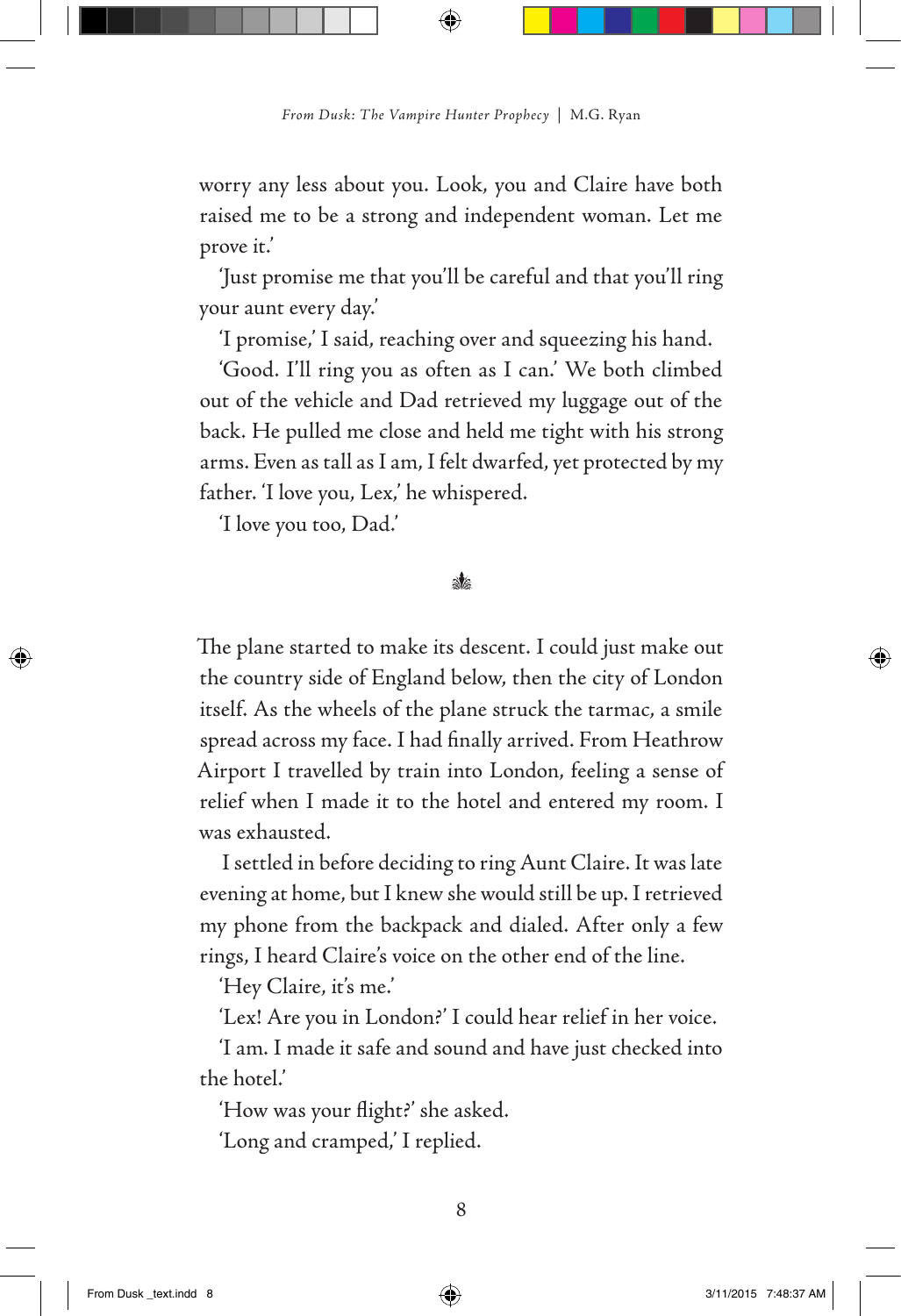worry any less about you. Look, you and Claire have both raised me to be a strong and independent woman. Let me prove it.'

'Just promise me that you'll be careful and that you'll ring your aunt every day.'

'I promise,' I said, reaching over and squeezing his hand.

'Good. I'll ring you as often as I can.' We both climbed out of the vehicle and Dad retrieved my luggage out of the back. He pulled me close and held me tight with his strong arms. Even as tall as I am, I felt dwarfed, yet protected by my father. 'I love you, Lex,' he whispered.

'I love you too, Dad.'

#### $\mathbf{M}$

The plane started to make its descent. I could just make out the country side of England below, then the city of London itself. As the wheels of the plane struck the tarmac, a smile spread across my face. I had finally arrived. From Heathrow Airport I travelled by train into London, feeling a sense of relief when I made it to the hotel and entered my room. I was exhausted.

I settled in before deciding to ring Aunt Claire. It was late evening at home, but I knew she would still be up. I retrieved my phone from the backpack and dialed. After only a few rings, I heard Claire's voice on the other end of the line.

'Hey Claire, it's me.'

'Lex! Are you in London?' I could hear relief in her voice.

'I am. I made it safe and sound and have just checked into the hotel.'

'How was your flight?' she asked. 'Long and cramped,' I replied.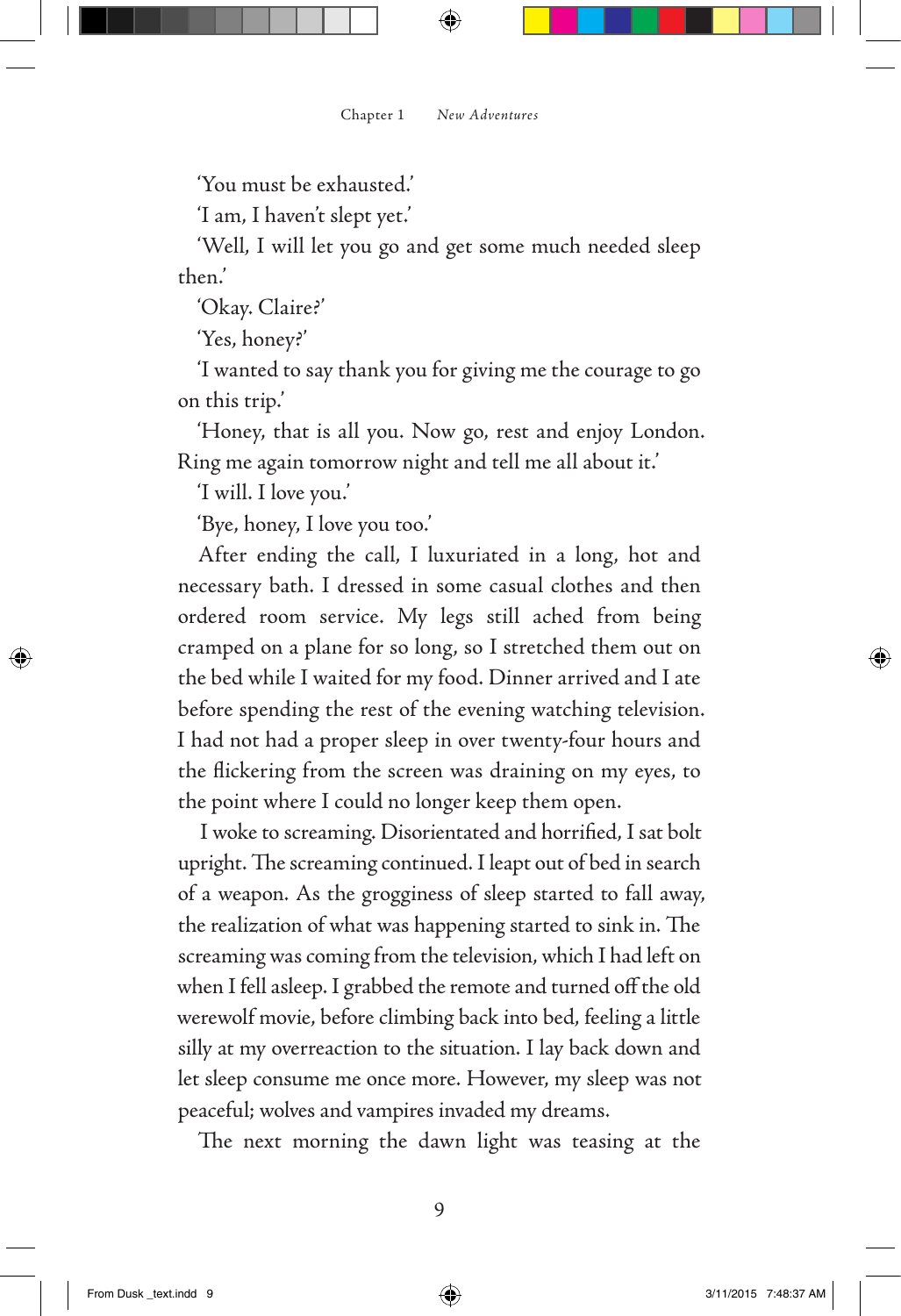'You must be exhausted.'

'I am, I haven't slept yet.'

'Well, I will let you go and get some much needed sleep then.'

'Okay. Claire?'

'Yes, honey?'

'I wanted to say thank you for giving me the courage to go on this trip.'

'Honey, that is all you. Now go, rest and enjoy London. Ring me again tomorrow night and tell me all about it.'

'I will. I love you.'

'Bye, honey, I love you too.'

After ending the call, I luxuriated in a long, hot and necessary bath. I dressed in some casual clothes and then ordered room service. My legs still ached from being cramped on a plane for so long, so I stretched them out on the bed while I waited for my food. Dinner arrived and I ate before spending the rest of the evening watching television. I had not had a proper sleep in over twenty-four hours and the flickering from the screen was draining on my eyes, to the point where I could no longer keep them open.

I woke to screaming. Disorientated and horrified, I sat bolt upright. The screaming continued. I leapt out of bed in search of a weapon. As the grogginess of sleep started to fall away, the realization of what was happening started to sink in. The screaming was coming from the television, which I had left on when I fell asleep. I grabbed the remote and turned off the old werewolf movie, before climbing back into bed, feeling a little silly at my overreaction to the situation. I lay back down and let sleep consume me once more. However, my sleep was not peaceful; wolves and vampires invaded my dreams.

The next morning the dawn light was teasing at the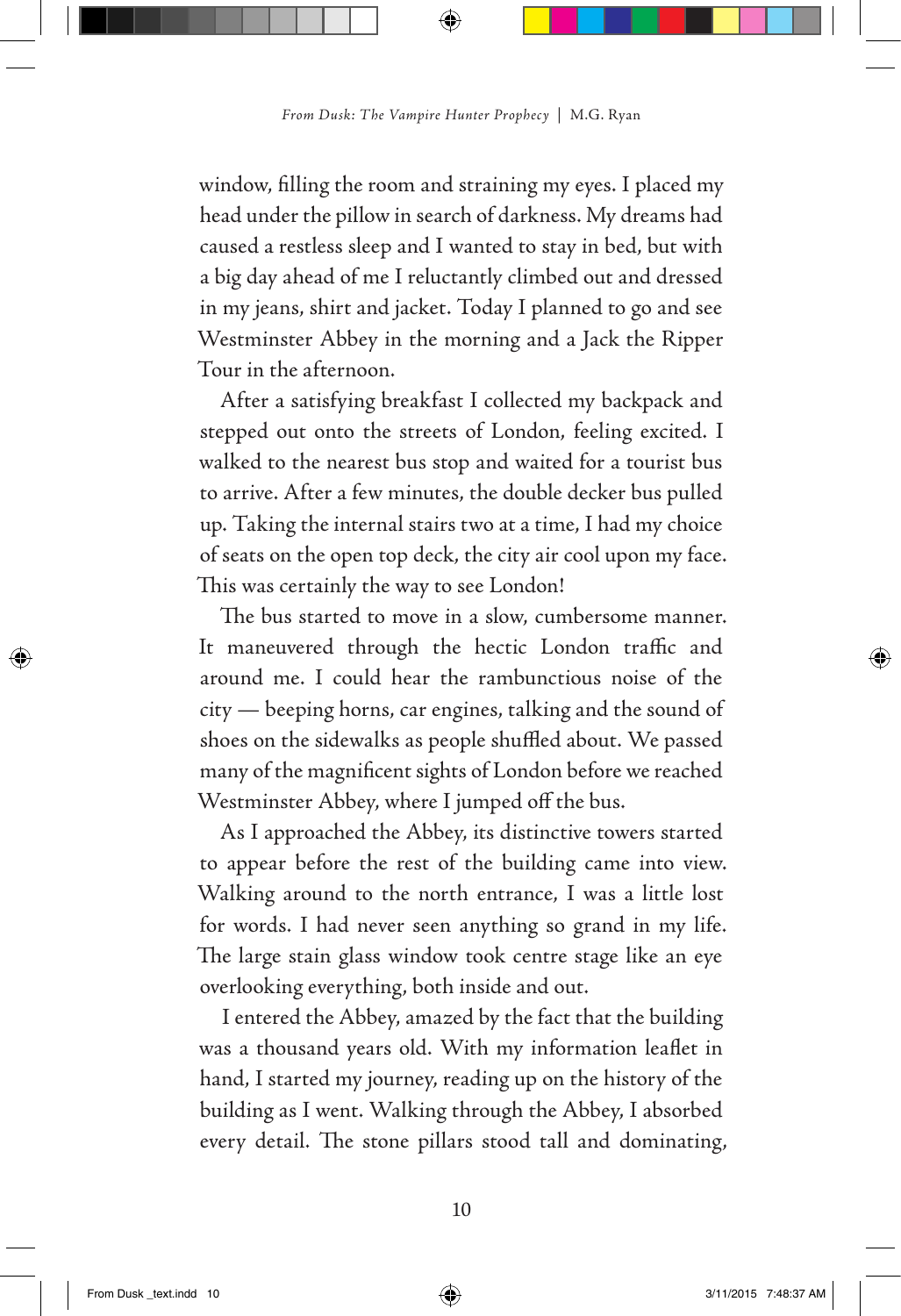window, filling the room and straining my eyes. I placed my head under the pillow in search of darkness. My dreams had caused a restless sleep and I wanted to stay in bed, but with a big day ahead of me I reluctantly climbed out and dressed in my jeans, shirt and jacket. Today I planned to go and see Westminster Abbey in the morning and a Jack the Ripper Tour in the afternoon.

After a satisfying breakfast I collected my backpack and stepped out onto the streets of London, feeling excited. I walked to the nearest bus stop and waited for a tourist bus to arrive. After a few minutes, the double decker bus pulled up. Taking the internal stairs two at a time, I had my choice of seats on the open top deck, the city air cool upon my face. This was certainly the way to see London!

The bus started to move in a slow, cumbersome manner. It maneuvered through the hectic London traffic and around me. I could hear the rambunctious noise of the city — beeping horns, car engines, talking and the sound of shoes on the sidewalks as people shuffled about. We passed many of the magnificent sights of London before we reached Westminster Abbey, where I jumped off the bus.

As I approached the Abbey, its distinctive towers started to appear before the rest of the building came into view. Walking around to the north entrance, I was a little lost for words. I had never seen anything so grand in my life. The large stain glass window took centre stage like an eye overlooking everything, both inside and out.

I entered the Abbey, amazed by the fact that the building was a thousand years old. With my information leaflet in hand, I started my journey, reading up on the history of the building as I went. Walking through the Abbey, I absorbed every detail. The stone pillars stood tall and dominating,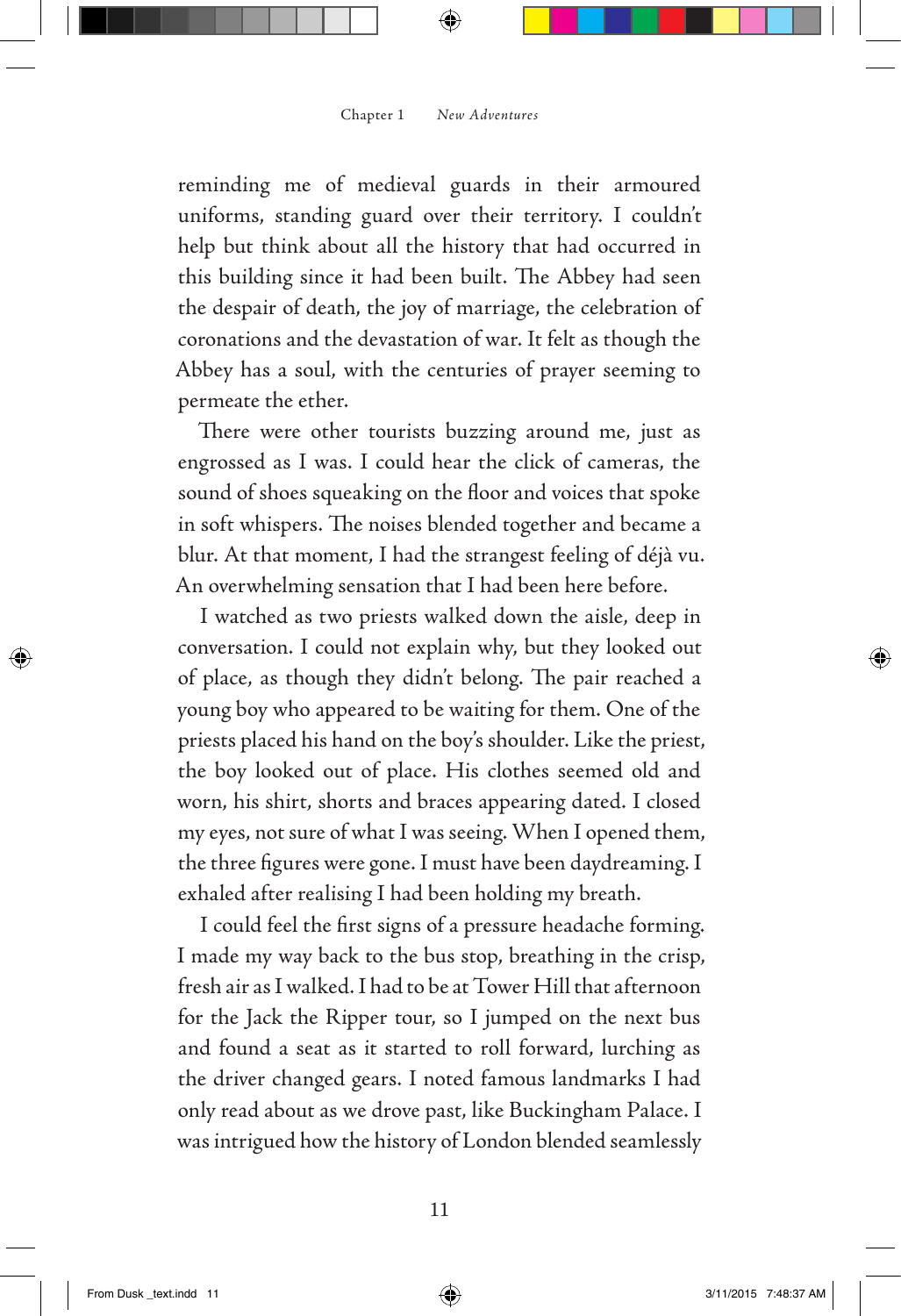reminding me of medieval guards in their armoured uniforms, standing guard over their territory. I couldn't help but think about all the history that had occurred in this building since it had been built. The Abbey had seen the despair of death, the joy of marriage, the celebration of coronations and the devastation of war. It felt as though the Abbey has a soul, with the centuries of prayer seeming to permeate the ether.

There were other tourists buzzing around me, just as engrossed as I was. I could hear the click of cameras, the sound of shoes squeaking on the floor and voices that spoke in soft whispers. The noises blended together and became a blur. At that moment, I had the strangest feeling of déjà vu. An overwhelming sensation that I had been here before.

I watched as two priests walked down the aisle, deep in conversation. I could not explain why, but they looked out of place, as though they didn't belong. The pair reached a young boy who appeared to be waiting for them. One of the priests placed his hand on the boy's shoulder. Like the priest, the boy looked out of place. His clothes seemed old and worn, his shirt, shorts and braces appearing dated. I closed my eyes, not sure of what I was seeing. When I opened them, the three figures were gone. I must have been daydreaming. I exhaled after realising I had been holding my breath.

I could feel the first signs of a pressure headache forming. I made my way back to the bus stop, breathing in the crisp, fresh air as I walked. I had to be at Tower Hill that afternoon for the Jack the Ripper tour, so I jumped on the next bus and found a seat as it started to roll forward, lurching as the driver changed gears. I noted famous landmarks I had only read about as we drove past, like Buckingham Palace. I was intrigued how the history of London blended seamlessly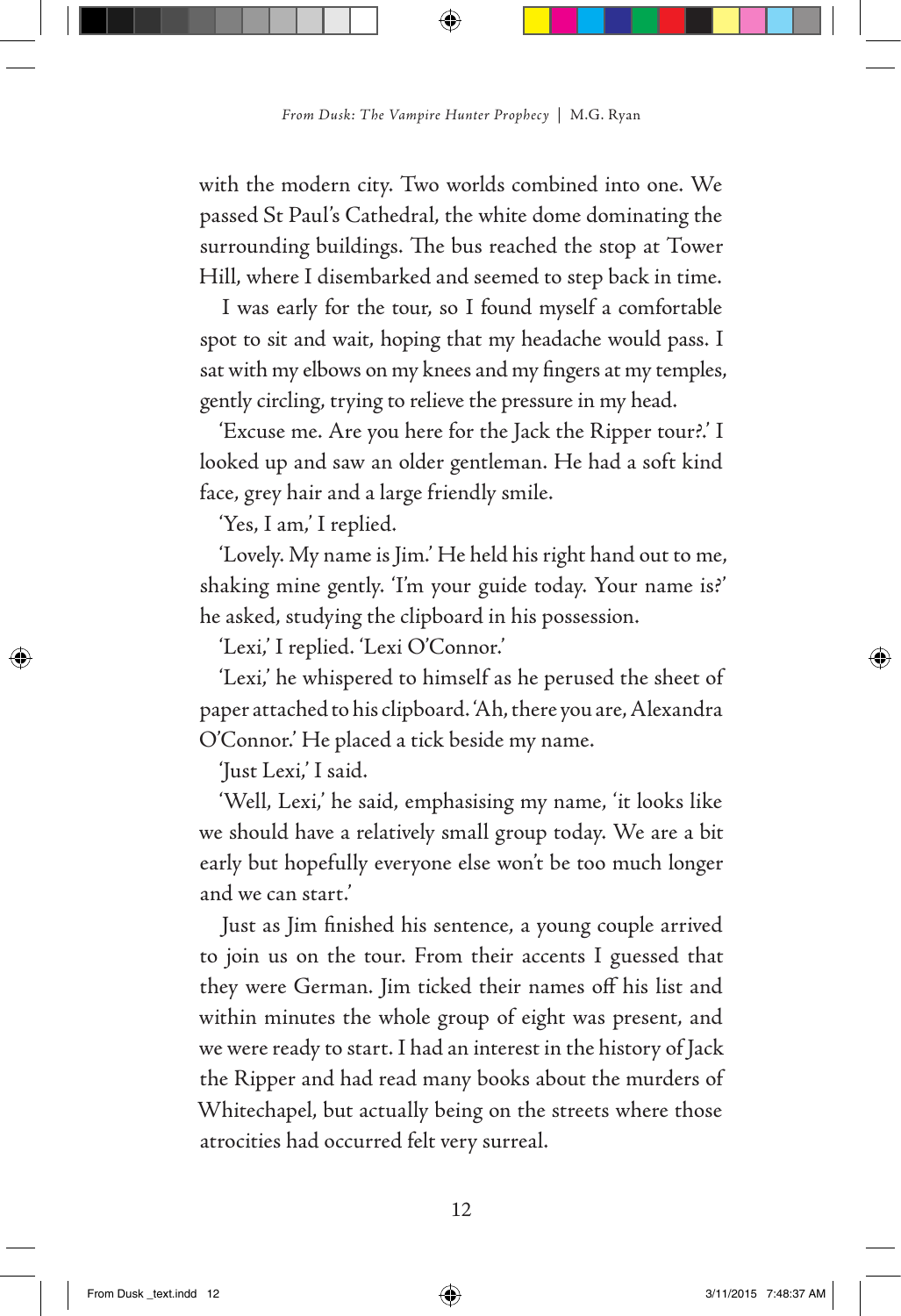with the modern city. Two worlds combined into one. We passed St Paul's Cathedral, the white dome dominating the surrounding buildings. The bus reached the stop at Tower Hill, where I disembarked and seemed to step back in time.

I was early for the tour, so I found myself a comfortable spot to sit and wait, hoping that my headache would pass. I sat with my elbows on my knees and my fingers at my temples, gently circling, trying to relieve the pressure in my head.

'Excuse me. Are you here for the Jack the Ripper tour?.' I looked up and saw an older gentleman. He had a soft kind face, grey hair and a large friendly smile.

'Yes, I am,' I replied.

'Lovely. My name is Jim.' He held his right hand out to me, shaking mine gently. 'I'm your guide today. Your name is?' he asked, studying the clipboard in his possession.

'Lexi,' I replied. 'Lexi O'Connor.'

'Lexi,' he whispered to himself as he perused the sheet of paper attached to his clipboard. 'Ah, there you are, Alexandra O'Connor.' He placed a tick beside my name.

'Just Lexi,' I said.

'Well, Lexi,' he said, emphasising my name, 'it looks like we should have a relatively small group today. We are a bit early but hopefully everyone else won't be too much longer and we can start.'

Just as Jim finished his sentence, a young couple arrived to join us on the tour. From their accents I guessed that they were German. Jim ticked their names off his list and within minutes the whole group of eight was present, and we were ready to start. I had an interest in the history of Jack the Ripper and had read many books about the murders of Whitechapel, but actually being on the streets where those atrocities had occurred felt very surreal.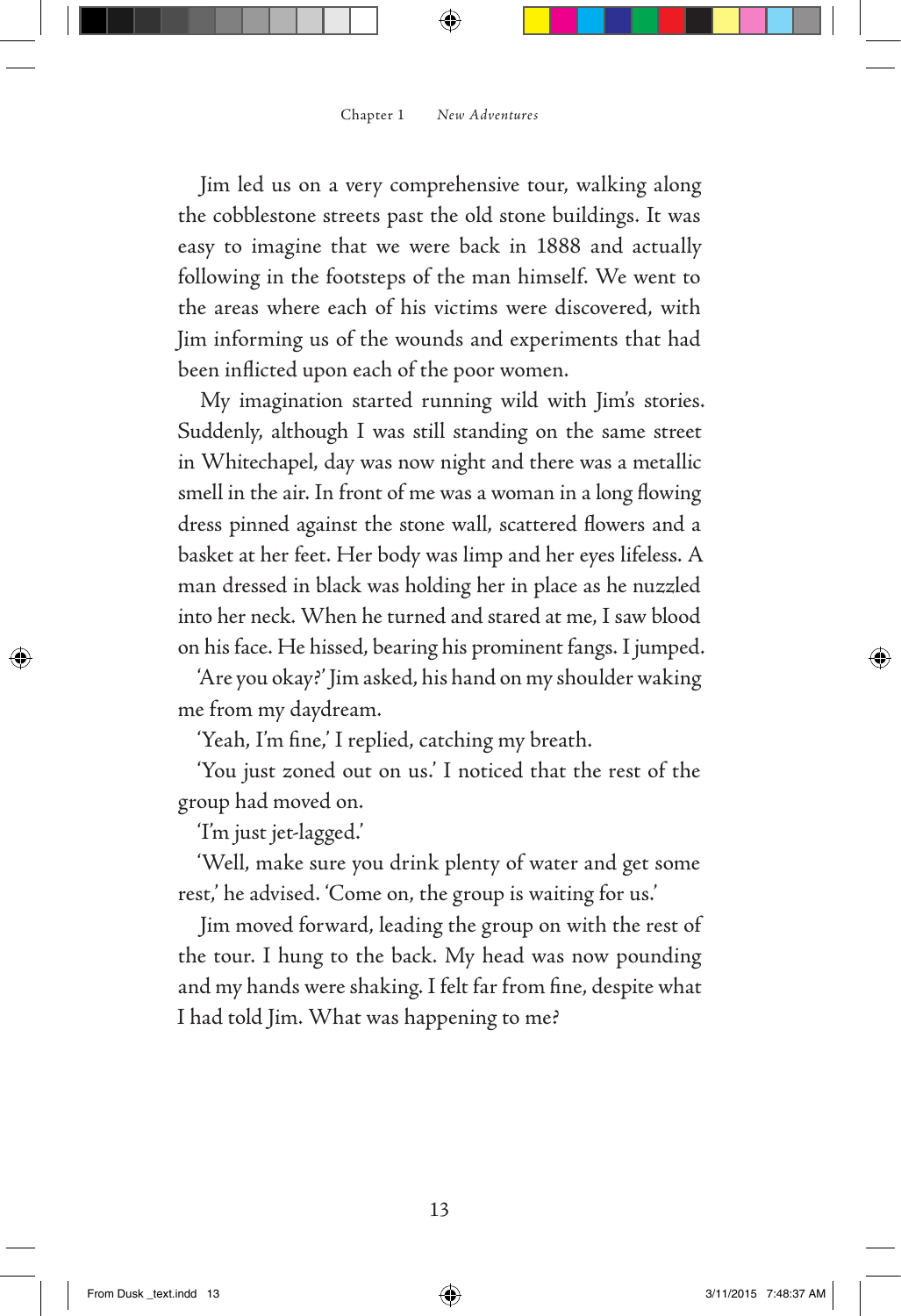Jim led us on a very comprehensive tour, walking along the cobblestone streets past the old stone buildings. It was easy to imagine that we were back in 1888 and actually following in the footsteps of the man himself. We went to the areas where each of his victims were discovered, with Jim informing us of the wounds and experiments that had been inflicted upon each of the poor women.

My imagination started running wild with Jim's stories. Suddenly, although I was still standing on the same street in Whitechapel, day was now night and there was a metallic smell in the air. In front of me was a woman in a long flowing dress pinned against the stone wall, scattered flowers and a basket at her feet. Her body was limp and her eyes lifeless. A man dressed in black was holding her in place as he nuzzled into her neck. When he turned and stared at me, I saw blood on his face. He hissed, bearing his prominent fangs. I jumped.

'Are you okay?' Jim asked, his hand on my shoulder waking me from my daydream.

'Yeah, I'm fine,' I replied, catching my breath.

'You just zoned out on us.' I noticed that the rest of the group had moved on.

'I'm just jet-lagged.'

'Well, make sure you drink plenty of water and get some rest,' he advised. 'Come on, the group is waiting for us.'

Jim moved forward, leading the group on with the rest of the tour. I hung to the back. My head was now pounding and my hands were shaking. I felt far from fine, despite what I had told Jim. What was happening to me?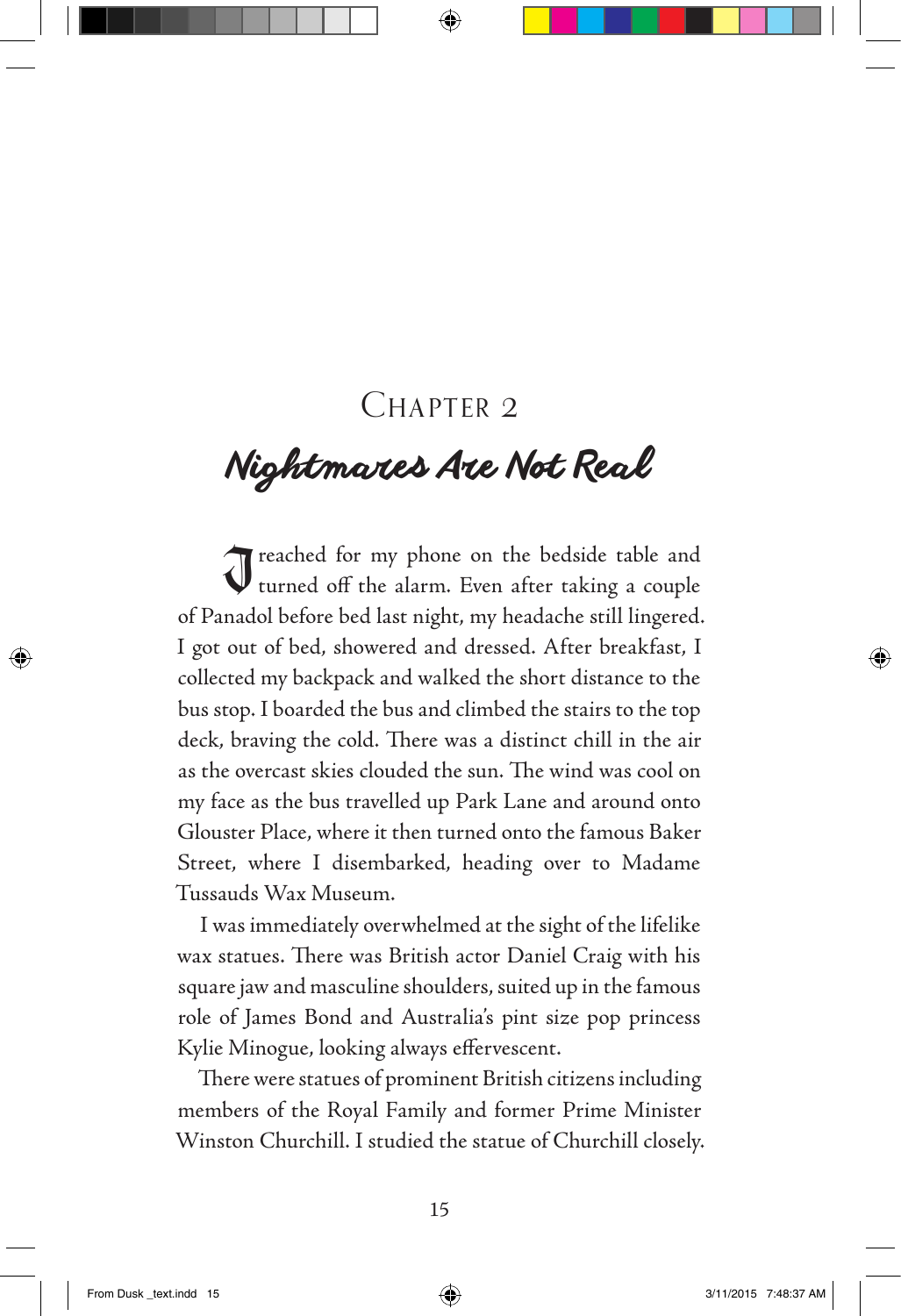## CHAPTER 2

# *Nightmares Are Not Real*

I reached for my phone on the bedside table and turned off the alarm. Even after taking a couple of Panadol before bed last night, my headache still lingered. I got out of bed, showered and dressed. After breakfast, I collected my backpack and walked the short distance to the bus stop. I boarded the bus and climbed the stairs to the top deck, braving the cold. There was a distinct chill in the air as the overcast skies clouded the sun. The wind was cool on my face as the bus travelled up Park Lane and around onto Glouster Place, where it then turned onto the famous Baker Street, where I disembarked, heading over to Madame Tussauds Wax Museum.

I was immediately overwhelmed at the sight of the lifelike wax statues. There was British actor Daniel Craig with his square jaw and masculine shoulders, suited up in the famous role of James Bond and Australia's pint size pop princess Kylie Minogue, looking always effervescent.

There were statues of prominent British citizens including members of the Royal Family and former Prime Minister Winston Churchill. I studied the statue of Churchill closely.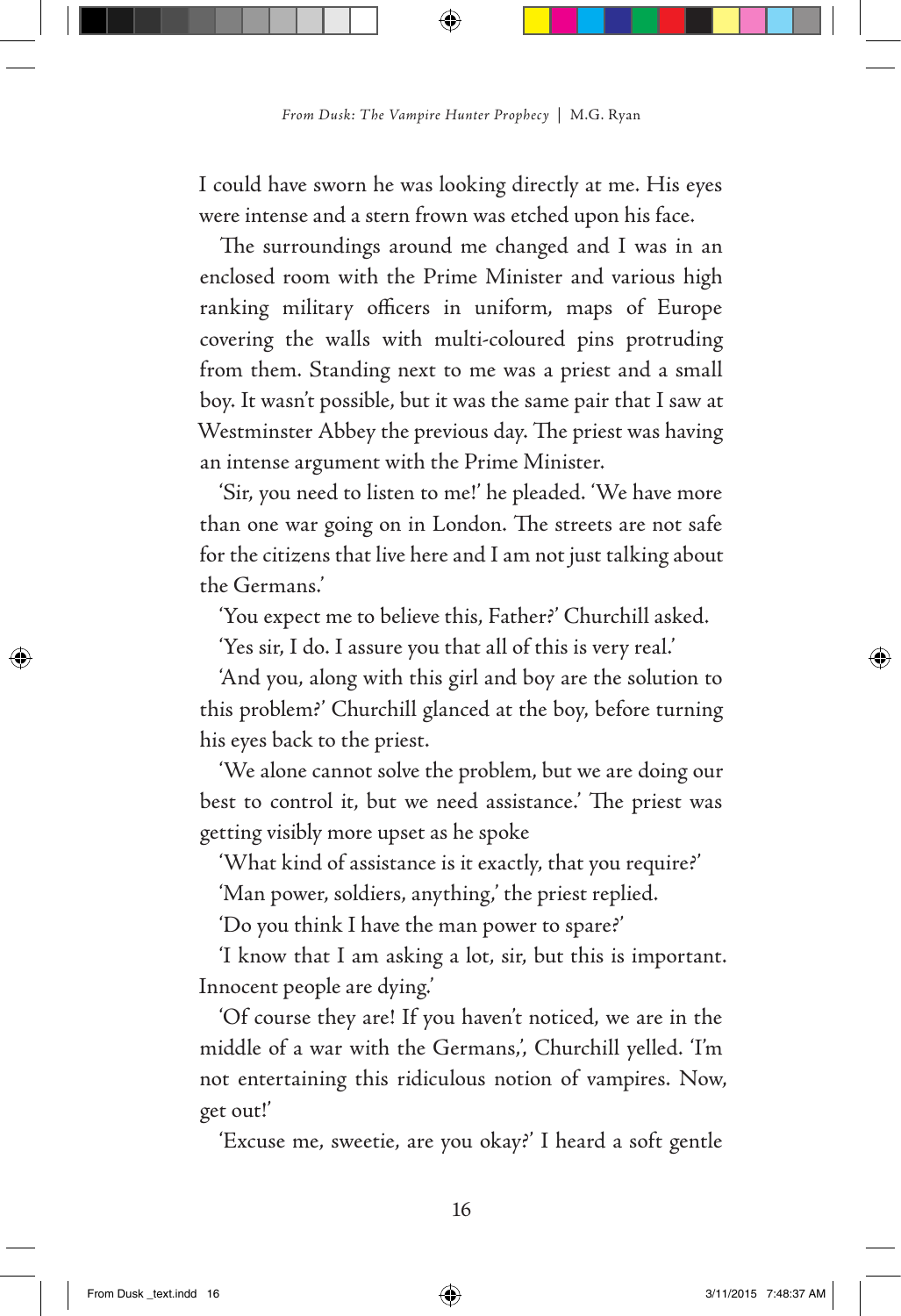I could have sworn he was looking directly at me. His eyes were intense and a stern frown was etched upon his face.

The surroundings around me changed and I was in an enclosed room with the Prime Minister and various high ranking military officers in uniform, maps of Europe covering the walls with multi-coloured pins protruding from them. Standing next to me was a priest and a small boy. It wasn't possible, but it was the same pair that I saw at Westminster Abbey the previous day. The priest was having an intense argument with the Prime Minister.

'Sir, you need to listen to me!' he pleaded. 'We have more than one war going on in London. The streets are not safe for the citizens that live here and I am not just talking about the Germans.'

'You expect me to believe this, Father?' Churchill asked.

'Yes sir, I do. I assure you that all of this is very real.'

'And you, along with this girl and boy are the solution to this problem?' Churchill glanced at the boy, before turning his eyes back to the priest.

'We alone cannot solve the problem, but we are doing our best to control it, but we need assistance.' The priest was getting visibly more upset as he spoke

'What kind of assistance is it exactly, that you require?'

'Man power, soldiers, anything,' the priest replied.

'Do you think I have the man power to spare?'

'I know that I am asking a lot, sir, but this is important. Innocent people are dying.'

'Of course they are! If you haven't noticed, we are in the middle of a war with the Germans,', Churchill yelled. 'I'm not entertaining this ridiculous notion of vampires. Now, get out!'

'Excuse me, sweetie, are you okay?' I heard a soft gentle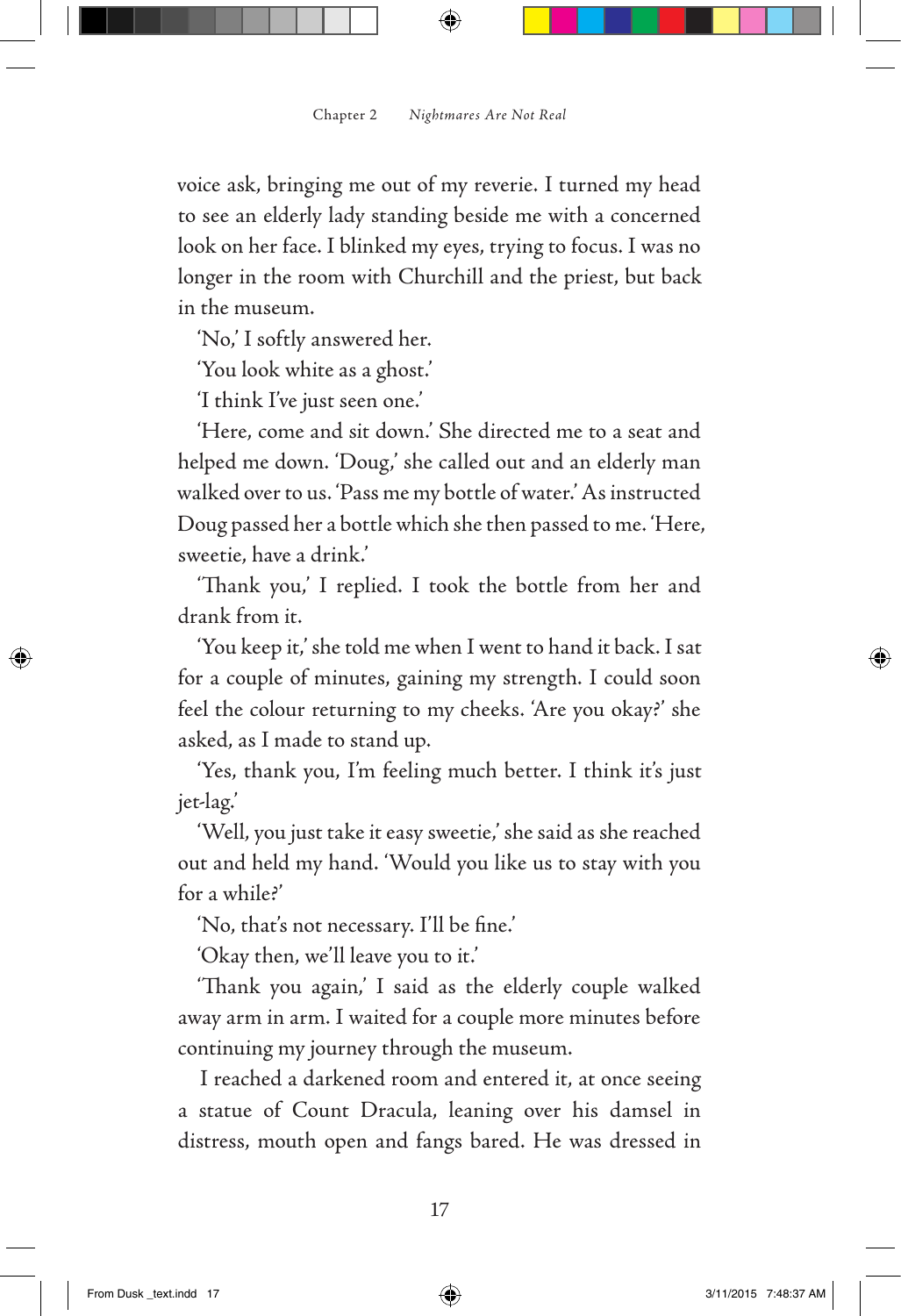voice ask, bringing me out of my reverie. I turned my head to see an elderly lady standing beside me with a concerned look on her face. I blinked my eyes, trying to focus. I was no longer in the room with Churchill and the priest, but back in the museum.

'No,' I softly answered her.

'You look white as a ghost.'

'I think I've just seen one.'

'Here, come and sit down.' She directed me to a seat and helped me down. 'Doug,' she called out and an elderly man walked over to us. 'Pass me my bottle of water.' As instructed Doug passed her a bottle which she then passed to me. 'Here, sweetie, have a drink.'

'Thank you,' I replied. I took the bottle from her and drank from it.

'You keep it,' she told me when I went to hand it back. I sat for a couple of minutes, gaining my strength. I could soon feel the colour returning to my cheeks. 'Are you okay?' she asked, as I made to stand up.

'Yes, thank you, I'm feeling much better. I think it's just jet-lag.'

'Well, you just take it easy sweetie,' she said as she reached out and held my hand. 'Would you like us to stay with you for a while?'

'No, that's not necessary. I'll be fine.'

'Okay then, we'll leave you to it.'

'Thank you again,' I said as the elderly couple walked away arm in arm. I waited for a couple more minutes before continuing my journey through the museum.

I reached a darkened room and entered it, at once seeing a statue of Count Dracula, leaning over his damsel in distress, mouth open and fangs bared. He was dressed in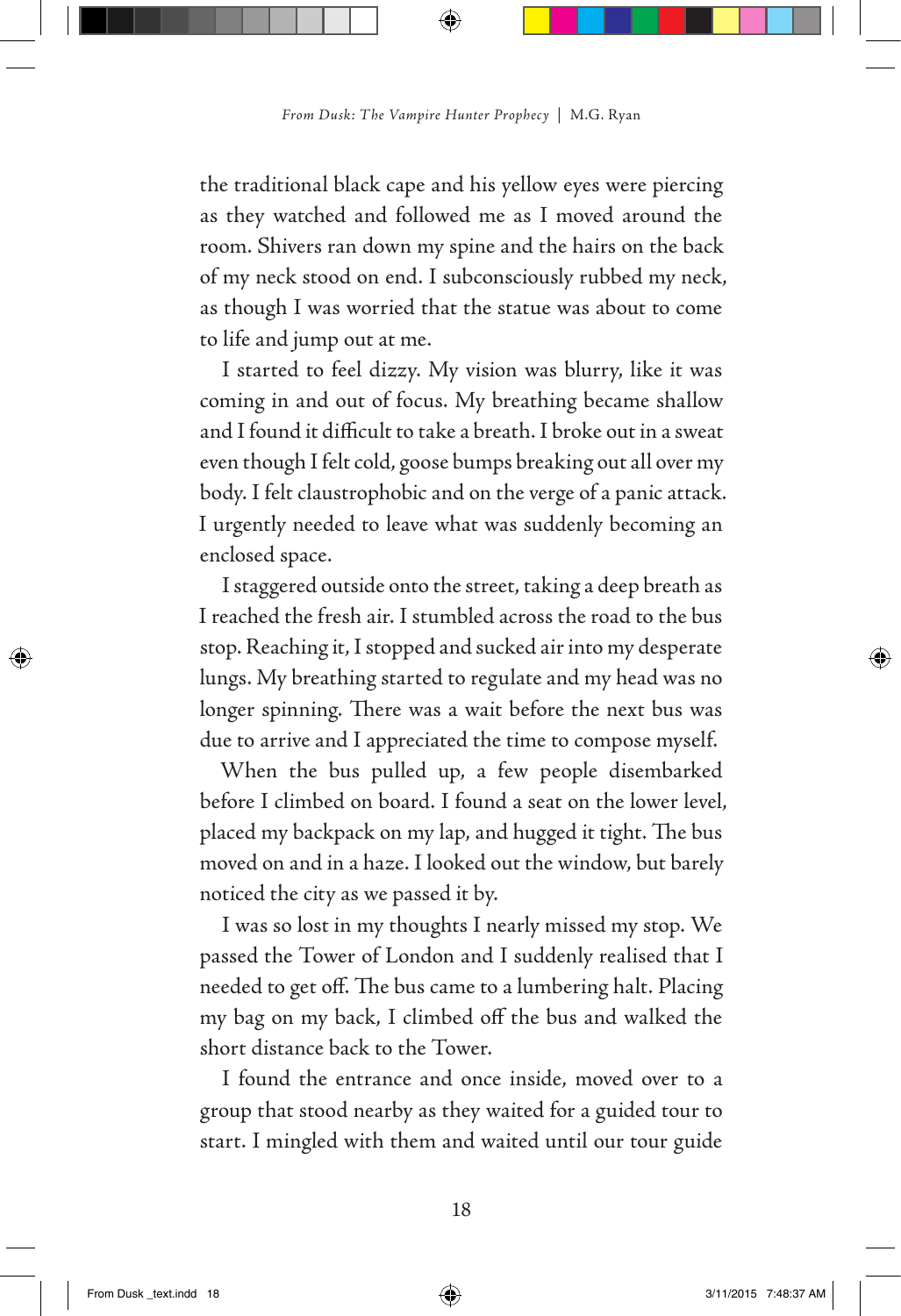the traditional black cape and his yellow eyes were piercing as they watched and followed me as I moved around the room. Shivers ran down my spine and the hairs on the back of my neck stood on end. I subconsciously rubbed my neck, as though I was worried that the statue was about to come to life and jump out at me.

I started to feel dizzy. My vision was blurry, like it was coming in and out of focus. My breathing became shallow and I found it difficult to take a breath. I broke out in a sweat even though I felt cold, goose bumps breaking out all over my body. I felt claustrophobic and on the verge of a panic attack. I urgently needed to leave what was suddenly becoming an enclosed space.

I staggered outside onto the street, taking a deep breath as I reached the fresh air. I stumbled across the road to the bus stop. Reaching it, I stopped and sucked air into my desperate lungs. My breathing started to regulate and my head was no longer spinning. There was a wait before the next bus was due to arrive and I appreciated the time to compose myself.

When the bus pulled up, a few people disembarked before I climbed on board. I found a seat on the lower level, placed my backpack on my lap, and hugged it tight. The bus moved on and in a haze. I looked out the window, but barely noticed the city as we passed it by.

I was so lost in my thoughts I nearly missed my stop. We passed the Tower of London and I suddenly realised that I needed to get off. The bus came to a lumbering halt. Placing my bag on my back, I climbed off the bus and walked the short distance back to the Tower.

I found the entrance and once inside, moved over to a group that stood nearby as they waited for a guided tour to start. I mingled with them and waited until our tour guide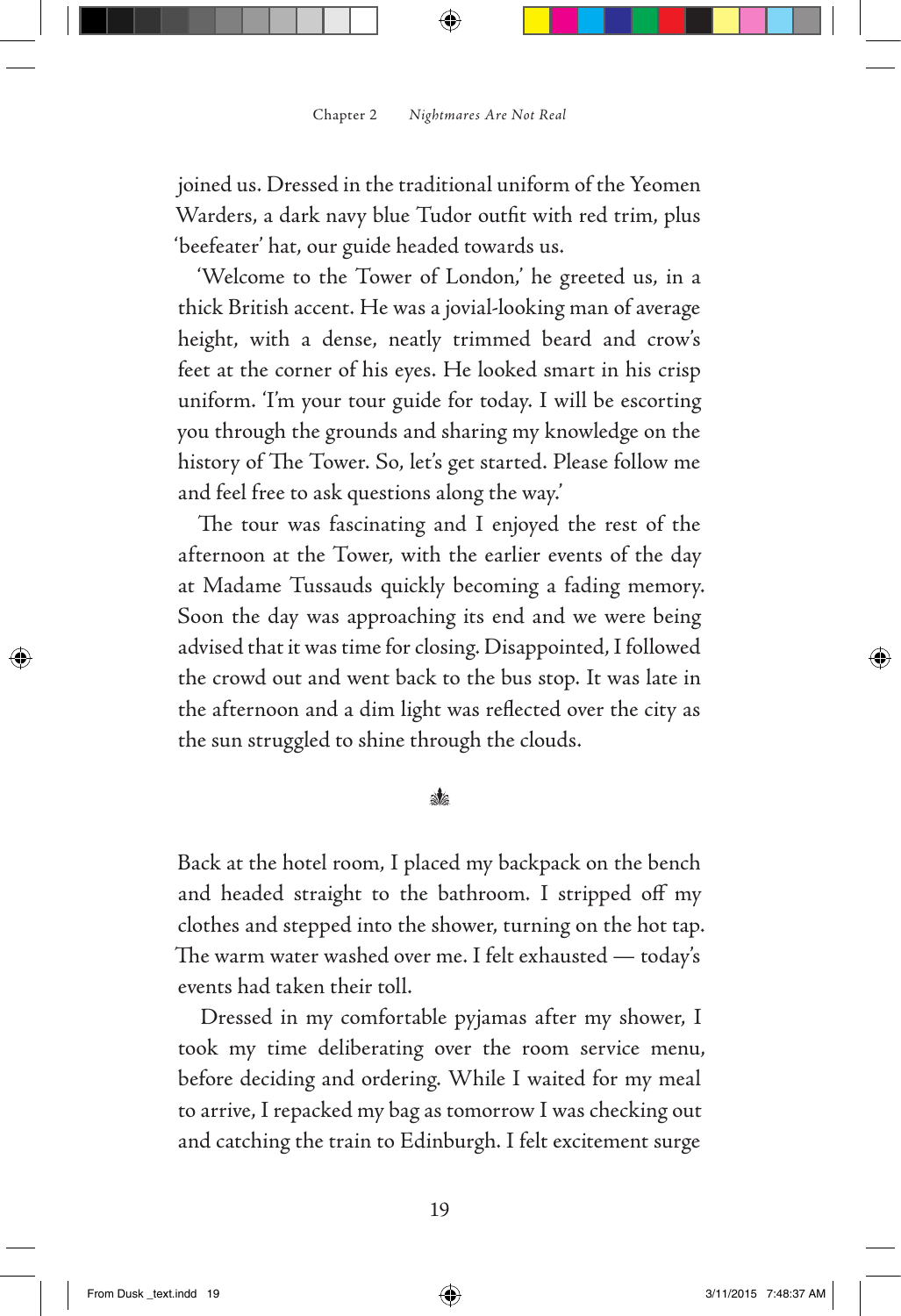joined us. Dressed in the traditional uniform of the Yeomen Warders, a dark navy blue Tudor outfit with red trim, plus 'beefeater' hat, our guide headed towards us.

'Welcome to the Tower of London,' he greeted us, in a thick British accent. He was a jovial-looking man of average height, with a dense, neatly trimmed beard and crow's feet at the corner of his eyes. He looked smart in his crisp uniform. 'I'm your tour guide for today. I will be escorting you through the grounds and sharing my knowledge on the history of The Tower. So, let's get started. Please follow me and feel free to ask questions along the way.'

The tour was fascinating and I enjoyed the rest of the afternoon at the Tower, with the earlier events of the day at Madame Tussauds quickly becoming a fading memory. Soon the day was approaching its end and we were being advised that it was time for closing. Disappointed, I followed the crowd out and went back to the bus stop. It was late in the afternoon and a dim light was reflected over the city as the sun struggled to shine through the clouds.

#### ak.

Back at the hotel room, I placed my backpack on the bench and headed straight to the bathroom. I stripped off my clothes and stepped into the shower, turning on the hot tap. The warm water washed over me. I felt exhausted — today's events had taken their toll.

Dressed in my comfortable pyjamas after my shower, I took my time deliberating over the room service menu, before deciding and ordering. While I waited for my meal to arrive, I repacked my bag as tomorrow I was checking out and catching the train to Edinburgh. I felt excitement surge